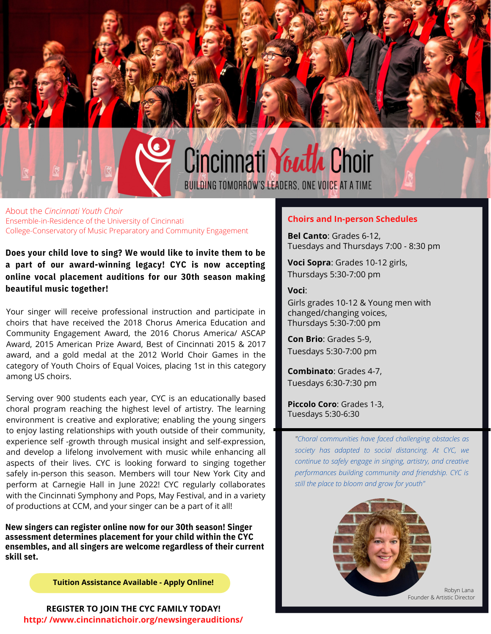

Ensemble-in-Residence of the University of Cincinnati College-Conservatory of Music Preparatory and Community Engagement About the *Cincinnati Youth Choir*

**Does your child love to sing? We would like to invite them to be a part of our award-winning legacy! CYC is now accepting online vocal placement auditions for our 30th season making beautiful music together!**

Your singer will receive professional instruction and participate in choirs that have received the 2018 Chorus America Education and Community Engagement Award, the 2016 Chorus America/ ASCAP Award, 2015 American Prize Award, Best of Cincinnati 2015 & 2017 award, and a gold medal at the 2012 World Choir Games in the category of Youth Choirs of Equal Voices, placing 1st in this category among US choirs.

Serving over 900 students each year, CYC is an educationally based choral program reaching the highest level of artistry. The learning environment is creative and explorative; enabling the young singers to enjoy lasting relationships with youth outside of their community, experience self -growth through musical insight and self-expression, and develop a lifelong involvement with music while enhancing all aspects of their lives. CYC is looking forward to singing together safely in-person this season. Members will tour New York City and perform at Carnegie Hall in June 2022! CYC regularly collaborates with the Cincinnati Symphony and Pops, May Festival, and in a variety of productions at CCM, and your singer can be a part of it all!

**New singers can register online now for our 30th season! Singer assessment determines placement for your child within the CYC ensembles, and all singers are welcome regardless of their current skill set.**

**Tuition Assistance Available - Apply Online!**

**REGISTER TO JOIN THE CYC FAMILY TODAY! http:/ /www.cincinnatichoir.org/newsingerauditions/**

#### **Choirs and In-person Schedules**

**Bel Canto**: Grades 6-12, Tuesdays and Thursdays 7:00 - 8:30 pm

**Voci Sopra**: Grades 10-12 girls, Thursdays 5:30-7:00 pm

**Voci**:

Girls grades 10-12 & Young men with changed/changing voices, Thursdays 5:30-7:00 pm

**Con Brio**: Grades 5-9, Tuesdays 5:30-7:00 pm

**Combinato**: Grades 4-7, Tuesdays 6:30-7:30 pm

**Piccolo Coro**: Grades 1-3, Tuesdays 5:30-6:30

*"Choral communities have faced challenging obstacles as society has adapted to social distancing. At CYC, we continue to safely engage in singing, artistry, and creative performances building community and friendship. CYC is still the place to bloom and grow for youth"*



Robyn Lana Founder & Artistic Director